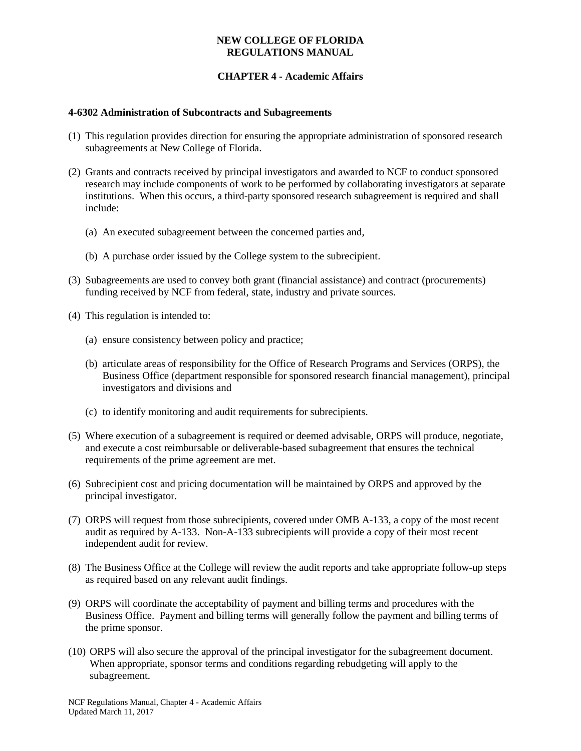#### **NEW COLLEGE OF FLORIDA REGULATIONS MANUAL**

### **CHAPTER 4 - Academic Affairs**

#### **4-6302 Administration of Subcontracts and Subagreements**

- (1) This regulation provides direction for ensuring the appropriate administration of sponsored research subagreements at New College of Florida.
- (2) Grants and contracts received by principal investigators and awarded to NCF to conduct sponsored research may include components of work to be performed by collaborating investigators at separate institutions. When this occurs, a third-party sponsored research subagreement is required and shall include:
	- (a) An executed subagreement between the concerned parties and,
	- (b) A purchase order issued by the College system to the subrecipient.
- (3) Subagreements are used to convey both grant (financial assistance) and contract (procurements) funding received by NCF from federal, state, industry and private sources.
- (4) This regulation is intended to:
	- (a) ensure consistency between policy and practice;
	- (b) articulate areas of responsibility for the Office of Research Programs and Services (ORPS), the Business Office (department responsible for sponsored research financial management), principal investigators and divisions and
	- (c) to identify monitoring and audit requirements for subrecipients.
- (5) Where execution of a subagreement is required or deemed advisable, ORPS will produce, negotiate, and execute a cost reimbursable or deliverable-based subagreement that ensures the technical requirements of the prime agreement are met.
- (6) Subrecipient cost and pricing documentation will be maintained by ORPS and approved by the principal investigator.
- (7) ORPS will request from those subrecipients, covered under OMB A-133, a copy of the most recent audit as required by A-133. Non-A-133 subrecipients will provide a copy of their most recent independent audit for review.
- (8) The Business Office at the College will review the audit reports and take appropriate follow-up steps as required based on any relevant audit findings.
- (9) ORPS will coordinate the acceptability of payment and billing terms and procedures with the Business Office. Payment and billing terms will generally follow the payment and billing terms of the prime sponsor.
- (10) ORPS will also secure the approval of the principal investigator for the subagreement document. When appropriate, sponsor terms and conditions regarding rebudgeting will apply to the subagreement.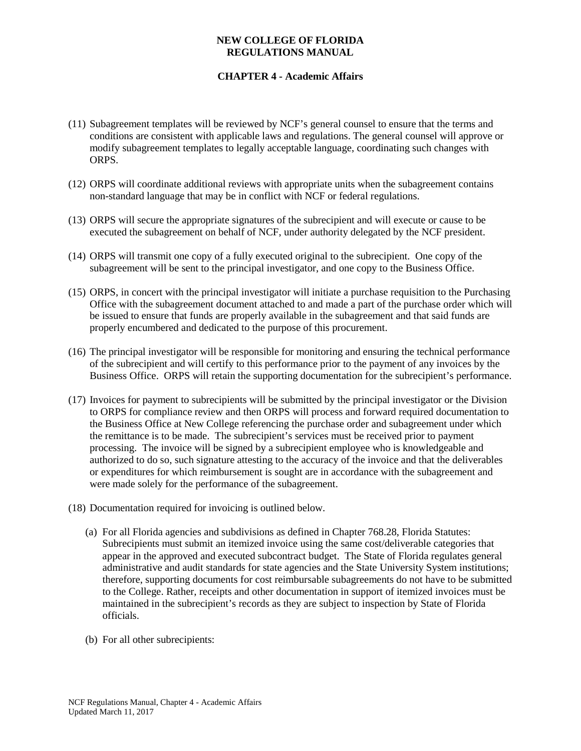### **NEW COLLEGE OF FLORIDA REGULATIONS MANUAL**

# **CHAPTER 4 - Academic Affairs**

- (11) Subagreement templates will be reviewed by NCF's general counsel to ensure that the terms and conditions are consistent with applicable laws and regulations. The general counsel will approve or modify subagreement templates to legally acceptable language, coordinating such changes with ORPS.
- (12) ORPS will coordinate additional reviews with appropriate units when the subagreement contains non-standard language that may be in conflict with NCF or federal regulations.
- (13) ORPS will secure the appropriate signatures of the subrecipient and will execute or cause to be executed the subagreement on behalf of NCF, under authority delegated by the NCF president.
- (14) ORPS will transmit one copy of a fully executed original to the subrecipient. One copy of the subagreement will be sent to the principal investigator, and one copy to the Business Office.
- (15) ORPS, in concert with the principal investigator will initiate a purchase requisition to the Purchasing Office with the subagreement document attached to and made a part of the purchase order which will be issued to ensure that funds are properly available in the subagreement and that said funds are properly encumbered and dedicated to the purpose of this procurement.
- (16) The principal investigator will be responsible for monitoring and ensuring the technical performance of the subrecipient and will certify to this performance prior to the payment of any invoices by the Business Office. ORPS will retain the supporting documentation for the subrecipient's performance.
- (17) Invoices for payment to subrecipients will be submitted by the principal investigator or the Division to ORPS for compliance review and then ORPS will process and forward required documentation to the Business Office at New College referencing the purchase order and subagreement under which the remittance is to be made. The subrecipient's services must be received prior to payment processing. The invoice will be signed by a subrecipient employee who is knowledgeable and authorized to do so, such signature attesting to the accuracy of the invoice and that the deliverables or expenditures for which reimbursement is sought are in accordance with the subagreement and were made solely for the performance of the subagreement.
- (18) Documentation required for invoicing is outlined below.
	- (a) For all Florida agencies and subdivisions as defined in Chapter 768.28, Florida Statutes: Subrecipients must submit an itemized invoice using the same cost/deliverable categories that appear in the approved and executed subcontract budget. The State of Florida regulates general administrative and audit standards for state agencies and the State University System institutions; therefore, supporting documents for cost reimbursable subagreements do not have to be submitted to the College. Rather, receipts and other documentation in support of itemized invoices must be maintained in the subrecipient's records as they are subject to inspection by State of Florida officials.
	- (b) For all other subrecipients: